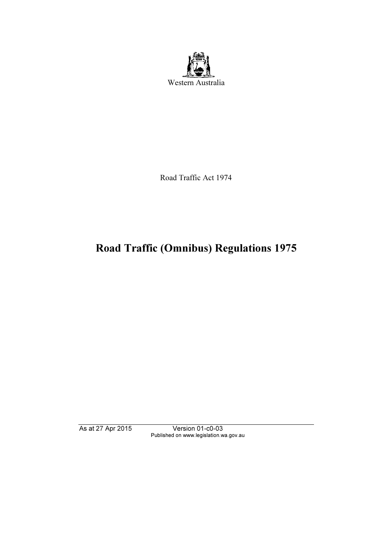

Road Traffic Act 1974

# Road Traffic (Omnibus) Regulations 1975

As at 27 Apr 2015 Version 01-c0-03 Published on www.legislation.wa.gov.au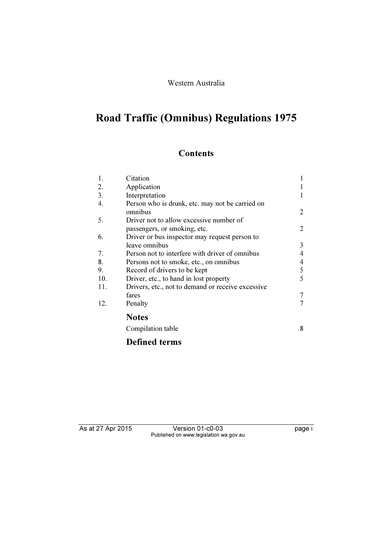### Western Australia

# Road Traffic (Omnibus) Regulations 1975

# **Contents**

| Citation                                                   |            |
|------------------------------------------------------------|------------|
| Application                                                |            |
| Interpretation                                             |            |
| Person who is drunk, etc. may not be carried on<br>omnibus | 2          |
| Driver not to allow excessive number of                    |            |
| passengers, or smoking, etc.                               | 2          |
| Driver or bus inspector may request person to              |            |
| leave omnibus                                              | 3          |
| Person not to interfere with driver of omnibus             | 4          |
| Persons not to smoke, etc., on omnibus                     | 4          |
| Record of drivers to be kept                               | $\sqrt{5}$ |
| Driver, etc., to hand in lost property                     | 5          |
| Drivers, etc., not to demand or receive excessive          |            |
| fares                                                      | 7          |
| Penalty                                                    | 7          |
| <b>Notes</b>                                               |            |
| Compilation table                                          | 8          |
|                                                            |            |

# Defined terms

Version 01-c0-03 page i Published on www.legislation.wa.gov.au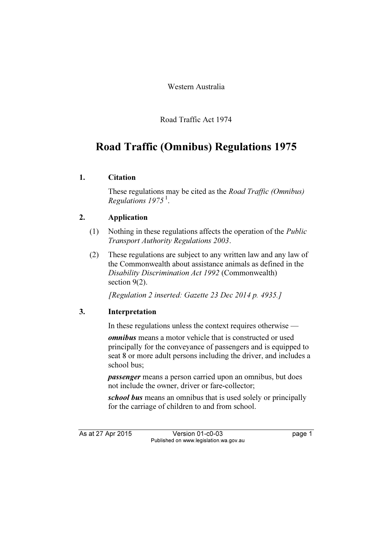Western Australia

Road Traffic Act 1974

# Road Traffic (Omnibus) Regulations 1975

### 1. Citation

 These regulations may be cited as the Road Traffic (Omnibus) Regulations  $1975<sup>1</sup>$ .

## 2. Application

- (1) Nothing in these regulations affects the operation of the Public Transport Authority Regulations 2003.
- (2) These regulations are subject to any written law and any law of the Commonwealth about assistance animals as defined in the Disability Discrimination Act 1992 (Commonwealth) section 9(2).

[Regulation 2 inserted: Gazette 23 Dec 2014 p. 4935.]

## 3. Interpretation

In these regulations unless the context requires otherwise —

omnibus means a motor vehicle that is constructed or used principally for the conveyance of passengers and is equipped to seat 8 or more adult persons including the driver, and includes a school bus;

passenger means a person carried upon an omnibus, but does not include the owner, driver or fare-collector;

school bus means an omnibus that is used solely or principally for the carriage of children to and from school.

As at 27 Apr 2015 Version 01-c0-03 page 1 Published on www.legislation.wa.gov.au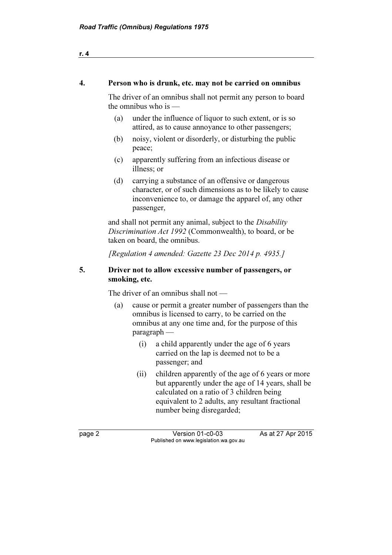### 4. Person who is drunk, etc. may not be carried on omnibus

 The driver of an omnibus shall not permit any person to board the omnibus who is —

- (a) under the influence of liquor to such extent, or is so attired, as to cause annoyance to other passengers;
- (b) noisy, violent or disorderly, or disturbing the public peace;
- (c) apparently suffering from an infectious disease or illness; or
- (d) carrying a substance of an offensive or dangerous character, or of such dimensions as to be likely to cause inconvenience to, or damage the apparel of, any other passenger,

and shall not permit any animal, subject to the *Disability* Discrimination Act 1992 (Commonwealth), to board, or be taken on board, the omnibus.

[Regulation 4 amended: Gazette 23 Dec 2014 p. 4935.]

## 5. Driver not to allow excessive number of passengers, or smoking, etc.

The driver of an omnibus shall not —

- (a) cause or permit a greater number of passengers than the omnibus is licensed to carry, to be carried on the omnibus at any one time and, for the purpose of this paragraph —
	- (i) a child apparently under the age of 6 years carried on the lap is deemed not to be a passenger; and
	- (ii) children apparently of the age of 6 years or more but apparently under the age of 14 years, shall be calculated on a ratio of 3 children being equivalent to 2 adults, any resultant fractional number being disregarded;

page 2 Version 01-c0-03 As at 27 Apr 2015 Published on www.legislation.wa.gov.au

r. 4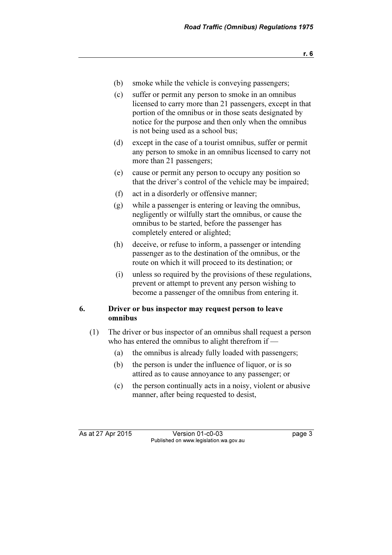- r. 6
- (b) smoke while the vehicle is conveying passengers;
- (c) suffer or permit any person to smoke in an omnibus licensed to carry more than 21 passengers, except in that portion of the omnibus or in those seats designated by notice for the purpose and then only when the omnibus is not being used as a school bus;
- (d) except in the case of a tourist omnibus, suffer or permit any person to smoke in an omnibus licensed to carry not more than 21 passengers;
- (e) cause or permit any person to occupy any position so that the driver's control of the vehicle may be impaired;
- (f) act in a disorderly or offensive manner;
- (g) while a passenger is entering or leaving the omnibus, negligently or wilfully start the omnibus, or cause the omnibus to be started, before the passenger has completely entered or alighted;
- (h) deceive, or refuse to inform, a passenger or intending passenger as to the destination of the omnibus, or the route on which it will proceed to its destination; or
- (i) unless so required by the provisions of these regulations, prevent or attempt to prevent any person wishing to become a passenger of the omnibus from entering it.

#### 6. Driver or bus inspector may request person to leave omnibus

- (1) The driver or bus inspector of an omnibus shall request a person who has entered the omnibus to alight therefrom if —
	- (a) the omnibus is already fully loaded with passengers;
	- (b) the person is under the influence of liquor, or is so attired as to cause annoyance to any passenger; or
	- (c) the person continually acts in a noisy, violent or abusive manner, after being requested to desist,

As at 27 Apr 2015 Version 01-c0-03 Page 3 Published on www.legislation.wa.gov.au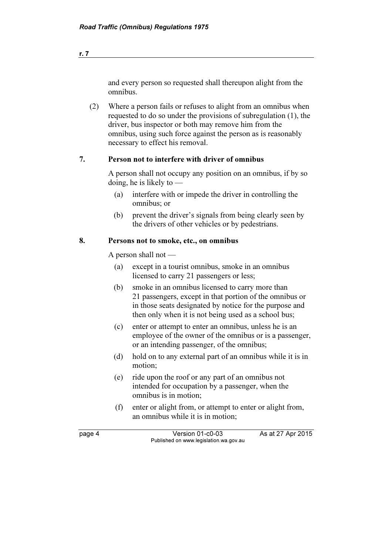and every person so requested shall thereupon alight from the omnibus.

 (2) Where a person fails or refuses to alight from an omnibus when requested to do so under the provisions of subregulation (1), the driver, bus inspector or both may remove him from the omnibus, using such force against the person as is reasonably necessary to effect his removal.

#### 7. Person not to interfere with driver of omnibus

 A person shall not occupy any position on an omnibus, if by so doing, he is likely to —

- (a) interfere with or impede the driver in controlling the omnibus; or
- (b) prevent the driver's signals from being clearly seen by the drivers of other vehicles or by pedestrians.

#### 8. Persons not to smoke, etc., on omnibus

A person shall not —

- (a) except in a tourist omnibus, smoke in an omnibus licensed to carry 21 passengers or less;
- (b) smoke in an omnibus licensed to carry more than 21 passengers, except in that portion of the omnibus or in those seats designated by notice for the purpose and then only when it is not being used as a school bus;
- (c) enter or attempt to enter an omnibus, unless he is an employee of the owner of the omnibus or is a passenger, or an intending passenger, of the omnibus;
- (d) hold on to any external part of an omnibus while it is in motion;
- (e) ride upon the roof or any part of an omnibus not intended for occupation by a passenger, when the omnibus is in motion;
- (f) enter or alight from, or attempt to enter or alight from, an omnibus while it is in motion;

page 4 Version 01-c0-03 As at 27 Apr 2015 Published on www.legislation.wa.gov.au

r. 7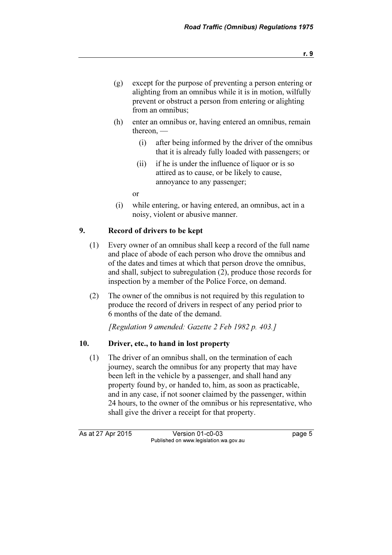- (g) except for the purpose of preventing a person entering or alighting from an omnibus while it is in motion, wilfully prevent or obstruct a person from entering or alighting from an omnibus;
- (h) enter an omnibus or, having entered an omnibus, remain thereon, —
	- (i) after being informed by the driver of the omnibus that it is already fully loaded with passengers; or
	- (ii) if he is under the influence of liquor or is so attired as to cause, or be likely to cause, annoyance to any passenger;

or

 (i) while entering, or having entered, an omnibus, act in a noisy, violent or abusive manner.

#### 9. Record of drivers to be kept

- (1) Every owner of an omnibus shall keep a record of the full name and place of abode of each person who drove the omnibus and of the dates and times at which that person drove the omnibus, and shall, subject to subregulation (2), produce those records for inspection by a member of the Police Force, on demand.
- (2) The owner of the omnibus is not required by this regulation to produce the record of drivers in respect of any period prior to 6 months of the date of the demand.

[Regulation 9 amended: Gazette 2 Feb 1982 p. 403.]

#### 10. Driver, etc., to hand in lost property

 (1) The driver of an omnibus shall, on the termination of each journey, search the omnibus for any property that may have been left in the vehicle by a passenger, and shall hand any property found by, or handed to, him, as soon as practicable, and in any case, if not sooner claimed by the passenger, within 24 hours, to the owner of the omnibus or his representative, who shall give the driver a receipt for that property.

As at 27 Apr 2015 Version 01-c0-03 Page 5 Published on www.legislation.wa.gov.au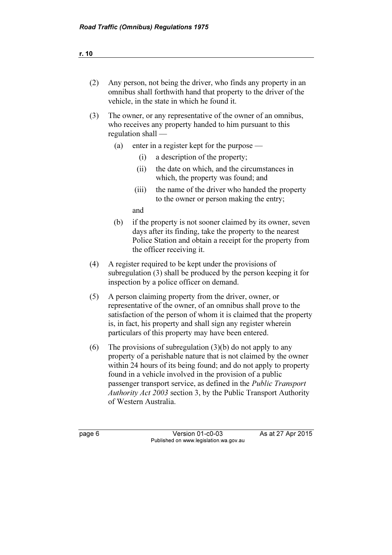| (2) |                                                                                                                                                                                                                                                                                                                                                                                                                                        |                    | Any person, not being the driver, who finds any property in an<br>omnibus shall forthwith hand that property to the driver of the<br>vehicle, in the state in which he found it.                                |
|-----|----------------------------------------------------------------------------------------------------------------------------------------------------------------------------------------------------------------------------------------------------------------------------------------------------------------------------------------------------------------------------------------------------------------------------------------|--------------------|-----------------------------------------------------------------------------------------------------------------------------------------------------------------------------------------------------------------|
| (3) |                                                                                                                                                                                                                                                                                                                                                                                                                                        | regulation shall — | The owner, or any representative of the owner of an omnibus,<br>who receives any property handed to him pursuant to this                                                                                        |
|     | (a)                                                                                                                                                                                                                                                                                                                                                                                                                                    |                    | enter in a register kept for the purpose —                                                                                                                                                                      |
|     |                                                                                                                                                                                                                                                                                                                                                                                                                                        | (i)                | a description of the property;                                                                                                                                                                                  |
|     |                                                                                                                                                                                                                                                                                                                                                                                                                                        | (ii)               | the date on which, and the circumstances in<br>which, the property was found; and                                                                                                                               |
|     |                                                                                                                                                                                                                                                                                                                                                                                                                                        | (iii)              | the name of the driver who handed the property<br>to the owner or person making the entry;                                                                                                                      |
|     |                                                                                                                                                                                                                                                                                                                                                                                                                                        | and                |                                                                                                                                                                                                                 |
|     | (b)                                                                                                                                                                                                                                                                                                                                                                                                                                    |                    | if the property is not sooner claimed by its owner, seven<br>days after its finding, take the property to the nearest<br>Police Station and obtain a receipt for the property from<br>the officer receiving it. |
| (4) |                                                                                                                                                                                                                                                                                                                                                                                                                                        |                    | A register required to be kept under the provisions of<br>subregulation (3) shall be produced by the person keeping it for<br>inspection by a police officer on demand.                                         |
| (5) | A person claiming property from the driver, owner, or<br>representative of the owner, of an omnibus shall prove to the<br>satisfaction of the person of whom it is claimed that the property<br>is, in fact, his property and shall sign any register wherein<br>particulars of this property may have been entered.                                                                                                                   |                    |                                                                                                                                                                                                                 |
| (6) | The provisions of subregulation $(3)(b)$ do not apply to any<br>property of a perishable nature that is not claimed by the owner<br>within 24 hours of its being found; and do not apply to property<br>found in a vehicle involved in the provision of a public<br>passenger transport service, as defined in the <i>Public Transport</i><br>Authority Act 2003 section 3, by the Public Transport Authority<br>of Western Australia. |                    |                                                                                                                                                                                                                 |

page 6 Version 01-c0-03 As at 27 Apr 2015 Published on www.legislation.wa.gov.au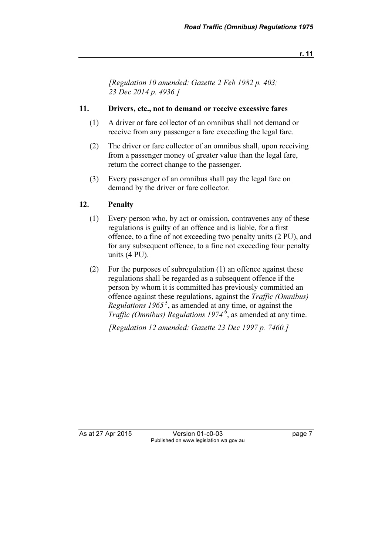r. 11

[Regulation 10 amended: Gazette 2 Feb 1982 p. 403; 23 Dec 2014 p. 4936.]

#### 11. Drivers, etc., not to demand or receive excessive fares

- (1) A driver or fare collector of an omnibus shall not demand or receive from any passenger a fare exceeding the legal fare.
- (2) The driver or fare collector of an omnibus shall, upon receiving from a passenger money of greater value than the legal fare, return the correct change to the passenger.
- (3) Every passenger of an omnibus shall pay the legal fare on demand by the driver or fare collector.

#### 12. Penalty

- (1) Every person who, by act or omission, contravenes any of these regulations is guilty of an offence and is liable, for a first offence, to a fine of not exceeding two penalty units (2 PU), and for any subsequent offence, to a fine not exceeding four penalty units (4 PU).
- (2) For the purposes of subregulation (1) an offence against these regulations shall be regarded as a subsequent offence if the person by whom it is committed has previously committed an offence against these regulations, against the Traffic (Omnibus) Regulations  $1965^5$ , as amended at any time, or against the Traffic (Omnibus) Regulations  $1974^6$ , as amended at any time.

[Regulation 12 amended: Gazette 23 Dec 1997 p. 7460.]

As at 27 Apr 2015 Version 01-c0-03 page 7 Published on www.legislation.wa.gov.au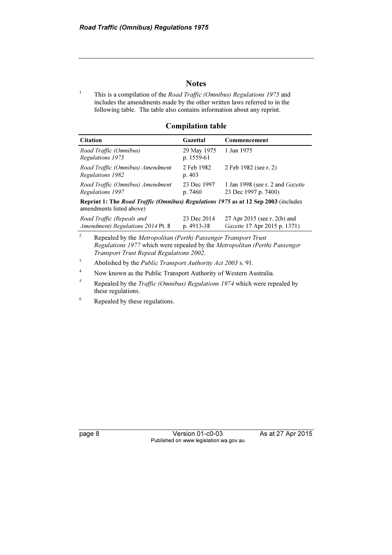#### **Notes**

1 This is a compilation of the Road Traffic (Omnibus) Regulations 1975 and includes the amendments made by the other written laws referred to in the following table. The table also contains information about any reprint.

#### Compilation table

| <b>Citation</b>                                                                           | Gazettal                    | Commencement                                             |  |  |
|-------------------------------------------------------------------------------------------|-----------------------------|----------------------------------------------------------|--|--|
| Road Traffic (Omnibus)<br>Regulations 1975                                                | 29 May 1975<br>p. $1559-61$ | 1 Jun 1975                                               |  |  |
| Road Traffic (Omnibus) Amendment<br>Regulations 1982                                      | 2 Feb 1982<br>p.403         | 2 Feb 1982 (see r. 2)                                    |  |  |
| Road Traffic (Omnibus) Amendment<br>Regulations 1997                                      | 23 Dec 1997<br>p. 7460      | 1 Jan 1998 (see r. 2 and Gazette<br>23 Dec 1997 p. 7400) |  |  |
| <b>Reprint 1: The Road Traffic (Omnibus) Regulations 1975 as at 12 Sep 2003</b> (includes |                             |                                                          |  |  |

affic (Omnibus) Regulations 1975 as at 12 Sep 2003 (includes amendments listed above)

| Road Traffic (Repeals and                | 23 Dec 2014 | 27 Apr 2015 (see r. 2(b) and        |
|------------------------------------------|-------------|-------------------------------------|
| <i>Amendment) Regulations 2014 Pt. 8</i> | p. 4913-38  | <i>Gazette</i> 17 Apr 2015 p. 1371) |

 $\overline{2}$  Repealed by the Metropolitan (Perth) Passenger Transport Trust Regulations 1977 which were repealed by the Metropolitan (Perth) Passenger Transport Trust Repeal Regulations 2002.

3 Abolished by the Public Transport Authority Act 2003 s. 91.

4 Now known as the Public Transport Authority of Western Australia.

5 Repealed by the Traffic (Omnibus) Regulations 1974 which were repealed by these regulations.

6 Repealed by these regulations.

page 8 Version 01-c0-03 As at 27 Apr 2015 Published on www.legislation.wa.gov.au